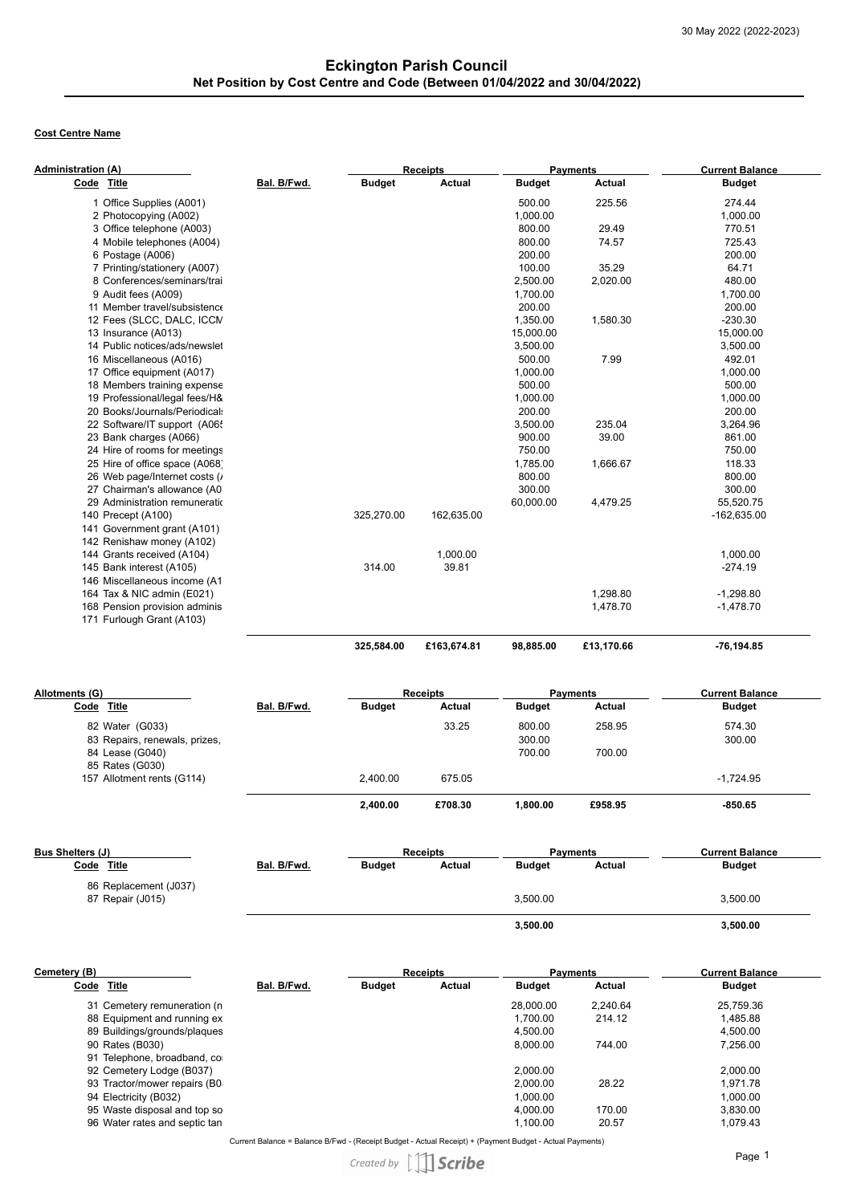# **Cost Centre Name**

| Administration (A) |                                | <b>Receipts</b> |               |               | <b>Payments</b> |               | <b>Current Balance</b> |
|--------------------|--------------------------------|-----------------|---------------|---------------|-----------------|---------------|------------------------|
| Code Title         |                                | Bal. B/Fwd.     | <b>Budget</b> | <b>Actual</b> | <b>Budget</b>   | <b>Actual</b> | <b>Budget</b>          |
|                    | 1 Office Supplies (A001)       |                 |               |               | 500.00          | 225.56        | 274.44                 |
|                    | 2 Photocopying (A002)          |                 |               |               | 1,000.00        |               | 1,000.00               |
|                    | 3 Office telephone (A003)      |                 |               |               | 800.00          | 29.49         | 770.51                 |
|                    | 4 Mobile telephones (A004)     |                 |               |               | 800.00          | 74.57         | 725.43                 |
|                    | 6 Postage (A006)               |                 |               |               | 200.00          |               | 200.00                 |
|                    | 7 Printing/stationery (A007)   |                 |               |               | 100.00          | 35.29         | 64.71                  |
|                    | 8 Conferences/seminars/trai    |                 |               |               | 2,500.00        | 2,020.00      | 480.00                 |
|                    | 9 Audit fees (A009)            |                 |               |               | 1,700.00        |               | 1,700.00               |
|                    | 11 Member travel/subsistence   |                 |               |               | 200.00          |               | 200.00                 |
|                    | 12 Fees (SLCC, DALC, ICCN      |                 |               |               | 1,350.00        | 1,580.30      | $-230.30$              |
|                    | 13 Insurance (A013)            |                 |               |               | 15,000.00       |               | 15,000.00              |
|                    | 14 Public notices/ads/newslet  |                 |               |               | 3,500.00        |               | 3,500.00               |
|                    | 16 Miscellaneous (A016)        |                 |               |               | 500.00          | 7.99          | 492.01                 |
|                    | 17 Office equipment (A017)     |                 |               |               | 1,000.00        |               | 1,000.00               |
|                    | 18 Members training expense    |                 |               |               | 500.00          |               | 500.00                 |
|                    | 19 Professional/legal fees/H&  |                 |               |               | 1,000.00        |               | 1,000.00               |
|                    | 20 Books/Journals/Periodical:  |                 |               |               | 200.00          |               | 200.00                 |
|                    | 22 Software/IT support (A06    |                 |               |               | 3,500.00        | 235.04        | 3,264.96               |
|                    | 23 Bank charges (A066)         |                 |               |               | 900.00          | 39.00         | 861.00                 |
|                    | 24 Hire of rooms for meetings  |                 |               |               | 750.00          |               | 750.00                 |
|                    | 25 Hire of office space (A068) |                 |               |               | 1,785.00        | 1,666.67      | 118.33                 |
|                    | 26 Web page/Internet costs (   |                 |               |               | 800.00          |               | 800.00                 |
|                    | 27 Chairman's allowance (A0    |                 |               |               | 300.00          |               | 300.00                 |
|                    | 29 Administration remuneration |                 |               |               | 60,000.00       | 4,479.25      | 55,520.75              |
|                    | 140 Precept (A100)             |                 | 325,270.00    | 162,635.00    |                 |               | $-162,635.00$          |
|                    | 141 Government grant (A101)    |                 |               |               |                 |               |                        |
|                    | 142 Renishaw money (A102)      |                 |               |               |                 |               |                        |
|                    | 144 Grants received (A104)     |                 |               | 1,000.00      |                 |               | 1,000.00               |
|                    | 145 Bank interest (A105)       |                 | 314.00        | 39.81         |                 |               | $-274.19$              |
|                    | 146 Miscellaneous income (A1   |                 |               |               |                 |               |                        |
|                    | 164 Tax & NIC admin (E021)     |                 |               |               |                 | 1,298.80      | $-1,298.80$            |
|                    | 168 Pension provision adminis  |                 |               |               |                 | 1,478.70      | $-1,478.70$            |
|                    | 171 Furlough Grant (A103)      |                 |               |               |                 |               |                        |
|                    |                                |                 | 325,584.00    | £163,674.81   | 98.885.00       | £13.170.66    | -76.194.85             |

| Allotments (G)                |             | <b>Receipts</b><br><b>Payments</b> |         | <b>Current Balance</b> |         |               |
|-------------------------------|-------------|------------------------------------|---------|------------------------|---------|---------------|
| Code Title                    | Bal. B/Fwd. | <b>Budget</b>                      | Actual  | <b>Budget</b>          | Actual  | <b>Budget</b> |
| 82 Water (G033)               |             |                                    | 33.25   | 800.00                 | 258.95  | 574.30        |
| 83 Repairs, renewals, prizes, |             |                                    |         | 300.00                 |         | 300.00        |
| 84 Lease (G040)               |             |                                    |         | 700.00                 | 700.00  |               |
| 85 Rates (G030)               |             |                                    |         |                        |         |               |
| 157 Allotment rents (G114)    |             | 2.400.00                           | 675.05  |                        |         | $-1.724.95$   |
|                               |             | 2.400.00                           | £708.30 | 1.800.00               | £958.95 | $-850.65$     |

| Bus Shelters (J)                          |             | <b>Receipts</b> |        | <b>Payments</b> |        | <b>Current Balance</b> |  |
|-------------------------------------------|-------------|-----------------|--------|-----------------|--------|------------------------|--|
| <u>Title</u><br>Code                      | Bal. B/Fwd. | <b>Budget</b>   | Actual | <b>Budget</b>   | Actual | <b>Budget</b>          |  |
| 86 Replacement (J037)<br>87 Repair (J015) |             |                 |        | 3,500.00        |        | 3,500.00               |  |
|                                           |             |                 |        | 3,500.00        |        | 3,500.00               |  |
|                                           |             |                 |        |                 |        |                        |  |

| Cemetery (B) |                               | <b>Receipts</b> |               | <b>Payments</b> |               | <b>Current Balance</b> |               |
|--------------|-------------------------------|-----------------|---------------|-----------------|---------------|------------------------|---------------|
| <u>Code</u>  | <b>Title</b>                  | Bal. B/Fwd.     | <b>Budget</b> | Actual          | <b>Budget</b> | Actual                 | <b>Budget</b> |
|              | 31 Cemetery remuneration (n   |                 |               |                 | 28,000.00     | 2.240.64               | 25,759.36     |
|              | 88 Equipment and running ex   |                 |               |                 | 1.700.00      | 214.12                 | 1,485.88      |
|              | 89 Buildings/grounds/plagues  |                 |               |                 | 4,500.00      |                        | 4,500.00      |
|              | 90 Rates (B030)               |                 |               |                 | 8,000.00      | 744.00                 | 7,256.00      |
|              | 91 Telephone, broadband, co   |                 |               |                 |               |                        |               |
|              | 92 Cemetery Lodge (B037)      |                 |               |                 | 2.000.00      |                        | 2.000.00      |
|              | 93 Tractor/mower repairs (B0  |                 |               |                 | 2.000.00      | 28.22                  | 1.971.78      |
|              | 94 Electricity (B032)         |                 |               |                 | 1.000.00      |                        | 1,000.00      |
|              | 95 Waste disposal and top so  |                 |               |                 | 4.000.00      | 170.00                 | 3,830.00      |
|              | 96 Water rates and septic tan |                 |               |                 | 1.100.00      | 20.57                  | 1,079.43      |

Current Balance = Balance B/Fwd - (Receipt Budget - Actual Receipt) + (Payment Budget - Actual Payments)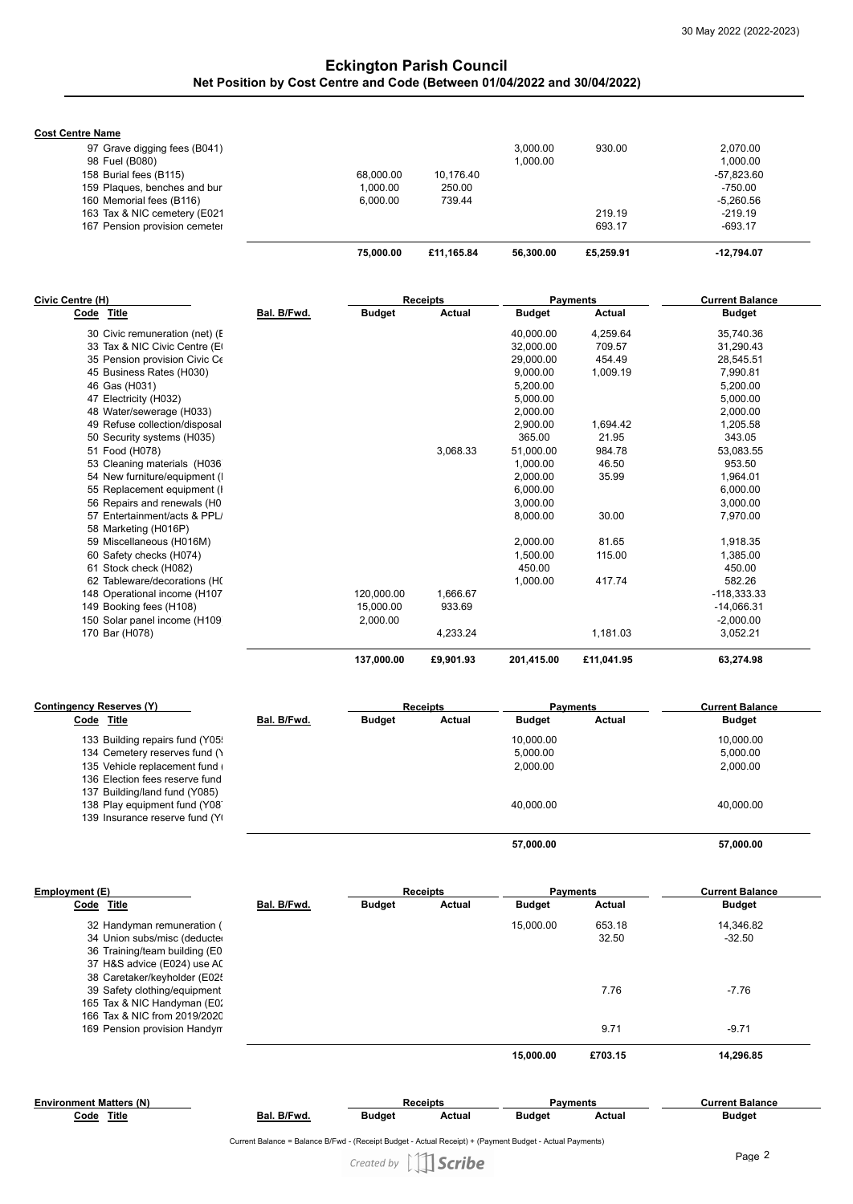# **Eckington Parish Council Net Position by Cost Centre and Code (Between 01/04/2022 and 30/04/2022)**

**Cost Centre Name**

|                               | 75,000,00 | £11.165.84 | 56.300.00 | £5,259.91 | -12.794.07  |
|-------------------------------|-----------|------------|-----------|-----------|-------------|
| 167 Pension provision cemeter |           |            |           | 693.17    | $-693.17$   |
| 163 Tax & NIC cemetery (E021  |           |            |           | 219.19    | $-219.19$   |
| 160 Memorial fees (B116)      | 6.000.00  | 739.44     |           |           | $-5.260.56$ |
| 159 Plaques, benches and bur  | 1.000.00  | 250.00     |           |           | -750.00     |
| 158 Burial fees (B115)        | 68.000.00 | 10.176.40  |           |           | -57.823.60  |
| 98 Fuel (B080)                |           |            | 1.000.00  |           | 1.000.00    |
| 97 Grave digging fees (B041)  |           |            | 3.000.00  | 930.00    | 2.070.00    |
| <b>VEIILE NAILE</b>           |           |            |           |           |             |

| Civic Centre (H)               |             |               | <b>Receipts</b> |               | <b>Payments</b> | <b>Current Balance</b> |
|--------------------------------|-------------|---------------|-----------------|---------------|-----------------|------------------------|
| Code<br>Title                  | Bal. B/Fwd. | <b>Budget</b> | Actual          | <b>Budget</b> | <b>Actual</b>   | <b>Budget</b>          |
| 30 Civic remuneration (net) (F |             |               |                 | 40,000.00     | 4,259.64        | 35,740.36              |
| 33 Tax & NIC Civic Centre (E)  |             |               |                 | 32,000.00     | 709.57          | 31,290.43              |
| 35 Pension provision Civic Ce  |             |               |                 | 29,000.00     | 454.49          | 28,545.51              |
| 45 Business Rates (H030)       |             |               |                 | 9,000.00      | 1,009.19        | 7,990.81               |
| 46 Gas (H031)                  |             |               |                 | 5,200.00      |                 | 5,200.00               |
| 47 Electricity (H032)          |             |               |                 | 5,000.00      |                 | 5,000.00               |
| 48 Water/sewerage (H033)       |             |               |                 | 2,000.00      |                 | 2,000.00               |
| 49 Refuse collection/disposal  |             |               |                 | 2,900.00      | 1,694.42        | 1,205.58               |
| 50 Security systems (H035)     |             |               |                 | 365.00        | 21.95           | 343.05                 |
| 51 Food (H078)                 |             |               | 3,068.33        | 51,000.00     | 984.78          | 53,083.55              |
| 53 Cleaning materials (H036    |             |               |                 | 1,000.00      | 46.50           | 953.50                 |
| 54 New furniture/equipment (   |             |               |                 | 2,000.00      | 35.99           | 1,964.01               |
| 55 Replacement equipment (I)   |             |               |                 | 6,000.00      |                 | 6,000.00               |
| 56 Repairs and renewals (H0    |             |               |                 | 3,000.00      |                 | 3,000.00               |
| 57 Entertainment/acts & PPL    |             |               |                 | 8,000.00      | 30.00           | 7,970.00               |
| 58 Marketing (H016P)           |             |               |                 |               |                 |                        |
| 59 Miscellaneous (H016M)       |             |               |                 | 2,000.00      | 81.65           | 1,918.35               |
| 60 Safety checks (H074)        |             |               |                 | 1,500.00      | 115.00          | 1,385.00               |
| 61 Stock check (H082)          |             |               |                 | 450.00        |                 | 450.00                 |
| 62 Tableware/decorations (H(   |             |               |                 | 1,000.00      | 417.74          | 582.26                 |
| 148 Operational income (H107   |             | 120,000.00    | 1,666.67        |               |                 | $-118,333.33$          |
| 149 Booking fees (H108)        |             | 15,000.00     | 933.69          |               |                 | $-14,066.31$           |
| 150 Solar panel income (H109   |             | 2,000.00      |                 |               |                 | $-2,000.00$            |
| 170 Bar (H078)                 |             |               | 4,233.24        |               | 1,181.03        | 3,052.21               |
|                                |             | 137,000.00    | £9,901.93       | 201,415.00    | £11,041.95      | 63,274.98              |

| Contingency Reserves (Y)       |             |               | <b>Receipts</b> |               | <b>Payments</b> | <b>Current Balance</b> |  |
|--------------------------------|-------------|---------------|-----------------|---------------|-----------------|------------------------|--|
| Code Title                     | Bal. B/Fwd. | <b>Budget</b> | Actual          | <b>Budget</b> | Actual          | <b>Budget</b>          |  |
| 133 Building repairs fund (Y05 |             |               |                 | 10.000.00     |                 | 10.000.00              |  |
| 134 Cemetery reserves fund ()  |             |               |                 | 5,000.00      |                 | 5.000.00               |  |
| 135 Vehicle replacement fund   |             |               |                 | 2,000.00      |                 | 2,000.00               |  |
| 136 Election fees reserve fund |             |               |                 |               |                 |                        |  |
| 137 Building/land fund (Y085)  |             |               |                 |               |                 |                        |  |
| 138 Play equipment fund (Y08)  |             |               |                 | 40.000.00     |                 | 40.000.00              |  |
| 139 Insurance reserve fund (Y) |             |               |                 |               |                 |                        |  |
|                                |             |               |                 | 57,000.00     |                 | 57.000.00              |  |

| Employment (E)                |             |               | <b>Receipts</b> |               | <b>Payments</b> | <b>Current Balance</b> |  |
|-------------------------------|-------------|---------------|-----------------|---------------|-----------------|------------------------|--|
| Code Title                    | Bal. B/Fwd. | <b>Budget</b> | Actual          | <b>Budget</b> | Actual          | <b>Budget</b>          |  |
| 32 Handyman remuneration (    |             |               |                 | 15.000.00     | 653.18          | 14,346.82              |  |
| 34 Union subs/misc (deducte   |             |               |                 |               | 32.50           | $-32.50$               |  |
| 36 Training/team building (E0 |             |               |                 |               |                 |                        |  |
| 37 H&S advice (E024) use A(   |             |               |                 |               |                 |                        |  |
| 38 Caretaker/keyholder (E02   |             |               |                 |               |                 |                        |  |
| 39 Safety clothing/equipment  |             |               |                 |               | 7.76            | $-7.76$                |  |
| 165 Tax & NIC Handyman (E0:   |             |               |                 |               |                 |                        |  |
| 166 Tax & NIC from 2019/2020  |             |               |                 |               |                 |                        |  |
| 169 Pension provision Handyn  |             |               |                 |               | 9.71            | $-9.71$                |  |
|                               |             |               |                 | 15,000,00     | £703.15         | 14.296.85              |  |

| <b>Environment Matters (N)</b> |  |
|--------------------------------|--|
| Code Title                     |  |

**Bal. B/Fwd. Receipts Payments Current Balance Budget Actual Budget Actual Budget**

Current Balance = Balance B/Fwd - (Receipt Budget - Actual Receipt) + (Payment Budget - Actual Payments)

Created by  $\iiint$  Scribe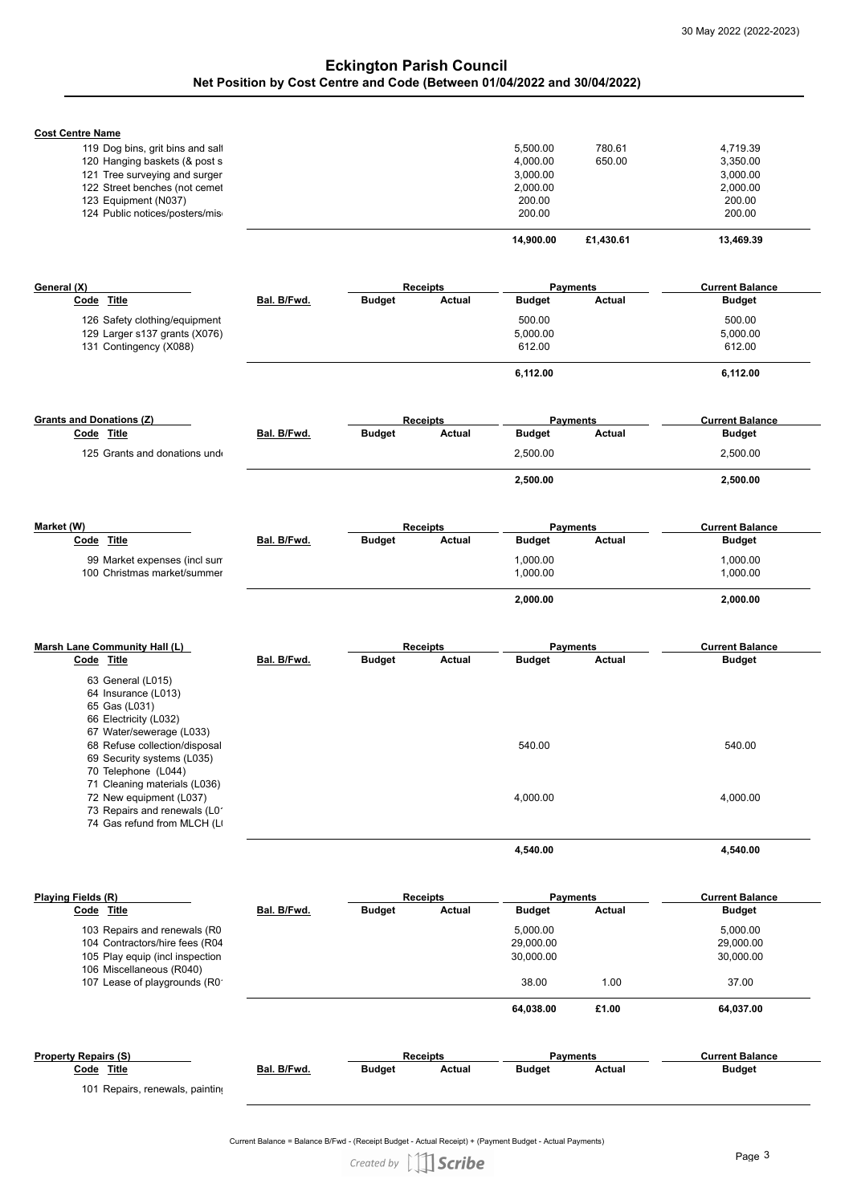# **Eckington Parish Council Net Position by Cost Centre and Code (Between 01/04/2022 and 30/04/2022)**

| <b>Cost Centre Name</b><br>119 Dog bins, grit bins and salt<br>120 Hanging baskets (& post s<br>121 Tree surveying and surger<br>122 Street benches (not cemet<br>123 Equipment (N037)                                                                          |             |                                            | 5,500.00<br>780.61<br>4,000.00<br>650.00<br>3,000.00<br>2,000.00<br>200.00 | 4,719.39<br>3,350.00<br>3,000.00<br>2,000.00<br>200.00 |
|-----------------------------------------------------------------------------------------------------------------------------------------------------------------------------------------------------------------------------------------------------------------|-------------|--------------------------------------------|----------------------------------------------------------------------------|--------------------------------------------------------|
| 124 Public notices/posters/mis                                                                                                                                                                                                                                  |             |                                            | 200.00                                                                     | 200.00                                                 |
|                                                                                                                                                                                                                                                                 |             |                                            | 14,900.00<br>£1,430.61                                                     | 13,469.39                                              |
|                                                                                                                                                                                                                                                                 |             |                                            |                                                                            |                                                        |
| General (X)<br>Code Title                                                                                                                                                                                                                                       | Bal. B/Fwd. | <b>Receipts</b><br>Budget<br><b>Actual</b> | <b>Payments</b><br><b>Budget</b><br>Actual                                 | <b>Current Balance</b><br><b>Budget</b>                |
|                                                                                                                                                                                                                                                                 |             |                                            |                                                                            |                                                        |
| 126 Safety clothing/equipment<br>129 Larger s137 grants (X076)<br>131 Contingency (X088)                                                                                                                                                                        |             |                                            | 500.00<br>5,000.00<br>612.00                                               | 500.00<br>5,000.00<br>612.00                           |
|                                                                                                                                                                                                                                                                 |             |                                            | 6,112.00                                                                   | 6,112.00                                               |
|                                                                                                                                                                                                                                                                 |             |                                            |                                                                            |                                                        |
| <b>Grants and Donations (Z)</b><br>Code Title                                                                                                                                                                                                                   | Bal. B/Fwd. | <b>Receipts</b><br><b>Budget</b><br>Actual | <b>Payments</b><br><b>Budget</b><br>Actual                                 | <b>Current Balance</b><br><b>Budget</b>                |
| 125 Grants and donations und                                                                                                                                                                                                                                    |             |                                            | 2,500.00                                                                   | 2,500.00                                               |
|                                                                                                                                                                                                                                                                 |             |                                            | 2,500.00                                                                   | 2,500.00                                               |
|                                                                                                                                                                                                                                                                 |             |                                            |                                                                            |                                                        |
| Market (W)                                                                                                                                                                                                                                                      |             | <b>Receipts</b>                            | <b>Payments</b>                                                            | <b>Current Balance</b>                                 |
| Code Title                                                                                                                                                                                                                                                      | Bal. B/Fwd. | <b>Budget</b><br>Actual                    | <b>Budget</b><br>Actual                                                    | <b>Budget</b>                                          |
| 99 Market expenses (incl sun<br>100 Christmas market/summer                                                                                                                                                                                                     |             |                                            | 1,000.00<br>1,000.00                                                       | 1,000.00<br>1,000.00                                   |
|                                                                                                                                                                                                                                                                 |             |                                            | 2,000.00                                                                   | 2,000.00                                               |
| Marsh Lane Community Hall (L)                                                                                                                                                                                                                                   |             | <b>Receipts</b>                            | <b>Payments</b>                                                            | <b>Current Balance</b>                                 |
| Code Title                                                                                                                                                                                                                                                      | Bal. B/Fwd. | <b>Budget</b><br>Actual                    | <b>Budget</b><br>Actual                                                    | Budget                                                 |
| 63 General (L015)<br>64 Insurance (L013)<br>65 Gas (L031)<br>66 Electricity (L032)<br>67 Water/sewerage (L033)<br>68 Refuse collection/disposal<br>69 Security systems (L035)<br>70 Telephone (L044)<br>71 Cleaning materials (L036)<br>72 New equipment (L037) |             |                                            | 540.00<br>4,000.00                                                         | 540.00<br>4,000.00                                     |
| 73 Repairs and renewals (L0<br>74 Gas refund from MLCH (L)                                                                                                                                                                                                      |             |                                            |                                                                            |                                                        |
|                                                                                                                                                                                                                                                                 |             |                                            | 4,540.00                                                                   | 4,540.00                                               |
| Playing Fields (R)                                                                                                                                                                                                                                              |             | <b>Receipts</b>                            | <b>Payments</b>                                                            | <b>Current Balance</b>                                 |
| Code Title                                                                                                                                                                                                                                                      | Bal. B/Fwd. | <b>Budget</b><br>Actual                    | <b>Budget</b><br>Actual                                                    | Budget                                                 |
| 103 Repairs and renewals (R0<br>104 Contractors/hire fees (R04<br>105 Play equip (incl inspection<br>106 Miscellaneous (R040)                                                                                                                                   |             |                                            | 5,000.00<br>29,000.00<br>30,000.00                                         | 5,000.00<br>29,000.00<br>30,000.00                     |
| 107 Lease of playgrounds (R0                                                                                                                                                                                                                                    |             |                                            | 38.00<br>1.00                                                              | 37.00                                                  |
|                                                                                                                                                                                                                                                                 |             |                                            | £1.00<br>64,038.00                                                         | 64,037.00                                              |
| <b>Property Repairs (S)</b>                                                                                                                                                                                                                                     |             | <b>Receipts</b>                            | <b>Payments</b>                                                            | <b>Current Balance</b>                                 |
| Code Title                                                                                                                                                                                                                                                      | Bal. B/Fwd. | <b>Budget</b><br>Actual                    | <b>Budget</b><br>Actual                                                    | <b>Budget</b>                                          |

101 Repairs, renewals, painting

Current Balance = Balance B/Fwd - (Receipt Budget - Actual Receipt) + (Payment Budget - Actual Payments)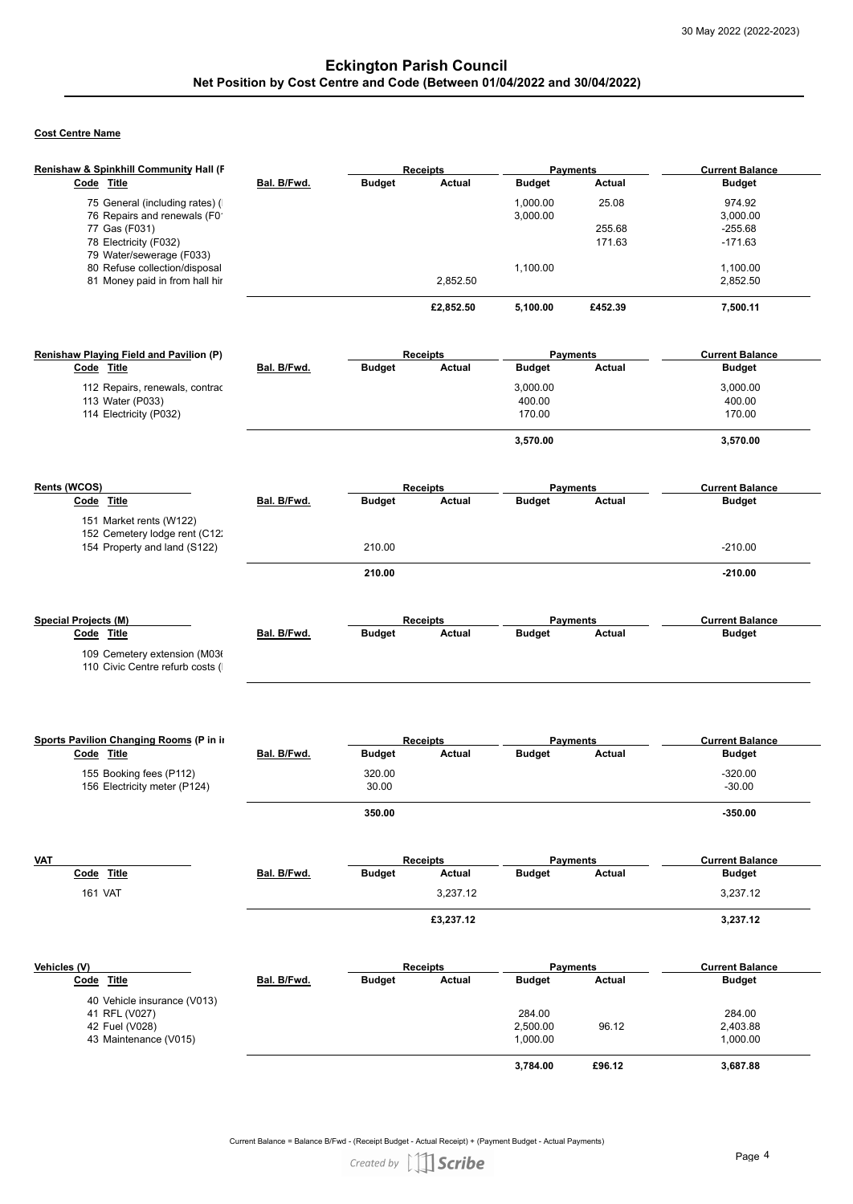# **Cost Centre Name**

| Renishaw & Spinkhill Community Hall (F                          |             |               | <b>Receipts</b> | <b>Payments</b> |               | <b>Current Balance</b> |
|-----------------------------------------------------------------|-------------|---------------|-----------------|-----------------|---------------|------------------------|
| Code Title                                                      | Bal. B/Fwd. | <b>Budget</b> | Actual          | <b>Budget</b>   | Actual        | <b>Budget</b>          |
| 75 General (including rates) (                                  |             |               |                 | 1,000.00        | 25.08         | 974.92                 |
| 76 Repairs and renewals (F0                                     |             |               |                 | 3,000.00        |               | 3,000.00               |
| 77 Gas (F031)                                                   |             |               |                 |                 | 255.68        | $-255.68$              |
| 78 Electricity (F032)                                           |             |               |                 |                 | 171.63        | $-171.63$              |
| 79 Water/sewerage (F033)                                        |             |               |                 |                 |               |                        |
| 80 Refuse collection/disposal                                   |             |               |                 | 1,100.00        |               | 1,100.00               |
| 81 Money paid in from hall hir                                  |             |               | 2,852.50        |                 |               | 2,852.50               |
|                                                                 |             |               | £2,852.50       | 5,100.00        | £452.39       | 7,500.11               |
| Renishaw Playing Field and Pavilion (P)                         |             |               | <b>Receipts</b> | <b>Payments</b> |               | <b>Current Balance</b> |
| Code Title                                                      | Bal. B/Fwd. | Budget        | Actual          | <b>Budget</b>   | Actual        | <b>Budget</b>          |
| 112 Repairs, renewals, contrad                                  |             |               |                 | 3,000.00        |               | 3,000.00               |
| 113 Water (P033)                                                |             |               |                 | 400.00          |               | 400.00                 |
| 114 Electricity (P032)                                          |             |               |                 | 170.00          |               | 170.00                 |
|                                                                 |             |               |                 |                 |               |                        |
|                                                                 |             |               |                 | 3,570.00        |               | 3,570.00               |
| Rents (WCOS)                                                    |             |               | <b>Receipts</b> | <b>Payments</b> |               | <b>Current Balance</b> |
| Code Title                                                      | Bal. B/Fwd. | Budget        | Actual          | <b>Budget</b>   | Actual        | <b>Budget</b>          |
| 151 Market rents (W122)                                         |             |               |                 |                 |               |                        |
| 152 Cemetery lodge rent (C12)                                   |             |               |                 |                 |               |                        |
| 154 Property and land (S122)                                    |             | 210.00        |                 |                 |               | $-210.00$              |
|                                                                 |             | 210.00        |                 |                 |               | $-210.00$              |
|                                                                 |             |               |                 |                 |               |                        |
|                                                                 |             |               |                 |                 |               |                        |
| <b>Special Projects (M)</b>                                     |             |               | <b>Receipts</b> | <b>Payments</b> |               | <b>Current Balance</b> |
| Code Title                                                      | Bal. B/Fwd. | Budget        | Actual          | <b>Budget</b>   | Actual        | <b>Budget</b>          |
|                                                                 |             |               |                 |                 |               |                        |
| 109 Cemetery extension (M03)<br>110 Civic Centre refurb costs ( |             |               |                 |                 |               |                        |
|                                                                 |             |               |                 |                 |               |                        |
|                                                                 |             |               |                 |                 |               |                        |
|                                                                 |             |               |                 |                 |               |                        |
|                                                                 |             |               |                 |                 |               |                        |
| Sports Pavilion Changing Rooms (P in in                         |             |               | <b>Receipts</b> | <b>Payments</b> |               | <b>Current Balance</b> |
| Code Title                                                      | Bal. B/Fwd. | <b>Budget</b> | Actual          | <b>Budget</b>   | Actual        | <b>Budget</b>          |
| 155 Booking fees (P112)                                         |             | 320.00        |                 |                 |               | $-320.00$              |
| 156 Electricity meter (P124)                                    |             | 30.00         |                 |                 |               | $-30.00$               |
|                                                                 |             | 350.00        |                 |                 |               | $-350.00$              |
|                                                                 |             |               |                 |                 |               |                        |
|                                                                 |             |               |                 |                 |               |                        |
| <b>VAT</b>                                                      |             |               | <b>Receipts</b> | <b>Payments</b> |               | <b>Current Balance</b> |
| Code Title                                                      | Bal. B/Fwd. | Budget        | Actual          | <b>Budget</b>   | Actual        | <b>Budget</b>          |
|                                                                 |             |               |                 |                 |               |                        |
| <b>161 VAT</b>                                                  |             |               | 3,237.12        |                 |               | 3,237.12               |
|                                                                 |             |               | £3,237.12       |                 |               | 3,237.12               |
|                                                                 |             |               |                 |                 |               |                        |
|                                                                 |             |               |                 |                 |               |                        |
| Vehicles (V)                                                    |             |               | <b>Receipts</b> | <b>Payments</b> |               | <b>Current Balance</b> |
| Code Title                                                      | Bal. B/Fwd. | <b>Budget</b> | Actual          | <b>Budget</b>   | <b>Actual</b> | <b>Budget</b>          |
| 40 Vehicle insurance (V013)                                     |             |               |                 |                 |               |                        |
| 41 RFL (V027)                                                   |             |               |                 | 284.00          |               | 284.00                 |
| 42 Fuel (V028)                                                  |             |               |                 | 2,500.00        | 96.12         | 2,403.88               |
| 43 Maintenance (V015)                                           |             |               |                 | 1,000.00        |               | 1,000.00               |
|                                                                 |             |               |                 |                 |               |                        |
|                                                                 |             |               |                 | 3,784.00        | £96.12        | 3,687.88               |